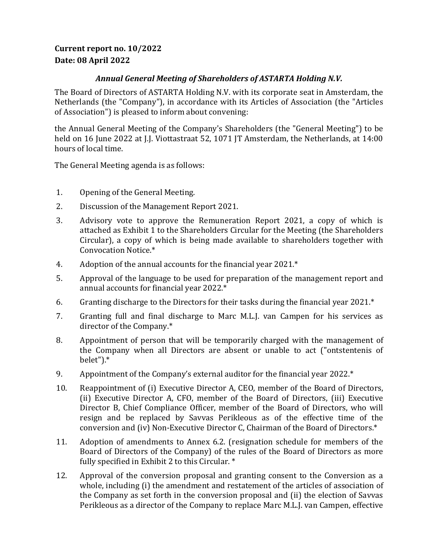## **Current report no. 10/2022 Date: 08 April 2022**

## *Annual General Meeting of Shareholders of ASTARTA Holding N.V.*

The Board of Directors of ASTARTA Holding N.V. with its corporate seat in Amsterdam, the Netherlands (the "Company"), in accordance with its Articles of Association (the "Articles of Association") is pleased to inform about convening:

the Annual General Meeting of the Company's Shareholders (the "General Meeting") to be held on 16 June 2022 at J.J. Viottastraat 52, 1071 JT Amsterdam, the Netherlands, at 14:00 hours of local time.

The General Meeting agenda is as follows:

- 1. Opening of the General Meeting.
- 2. Discussion of the Management Report 2021.
- 3. Advisory vote to approve the Remuneration Report 2021, a copy of which is attached as Exhibit 1 to the Shareholders Circular for the Meeting (the Shareholders Circular), a copy of which is being made available to shareholders together with Convocation Notice.\*
- 4. Adoption of the annual accounts for the financial year 2021.\*
- 5. Approval of the language to be used for preparation of the management report and annual accounts for financial year 2022.\*
- 6. Granting discharge to the Directors for their tasks during the financial year 2021.\*
- 7. Granting full and final discharge to Marc M.L.J. van Campen for his services as director of the Company.\*
- 8. Appointment of person that will be temporarily charged with the management of the Company when all Directors are absent or unable to act ("ontstentenis of belet").\*
- 9. Appointment of the Company's external auditor for the financial year 2022.\*
- 10. Reappointment of (i) Executive Director A, CEO, member of the Board of Directors, (ii) Executive Director A, CFO, member of the Board of Directors, (iii) Executive Director B, Chief Compliance Officer, member of the Board of Directors, who will resign and be replaced by Savvas Perikleous as of the effective time of the conversion and (iv) Non-Executive Director C, Chairman of the Board of Directors.\*
- 11. Adoption of amendments to Annex 6.2. (resignation schedule for members of the Board of Directors of the Company) of the rules of the Board of Directors as more fully specified in Exhibit 2 to this Circular. \*
- 12. Approval of the conversion proposal and granting consent to the Conversion as a whole, including (i) the amendment and restatement of the articles of association of the Company as set forth in the conversion proposal and (ii) the election of Savvas Perikleous as a director of the Company to replace Marc M.L.J. van Campen, effective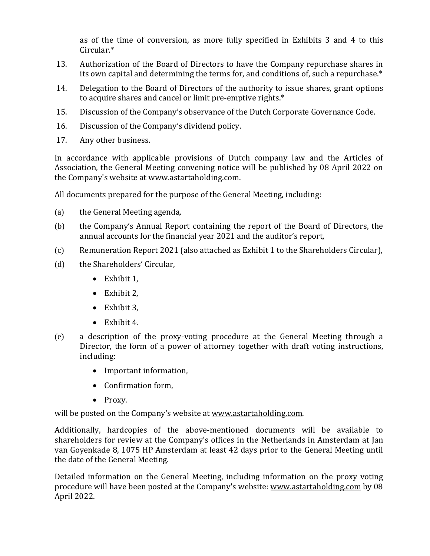as of the time of conversion, as more fully specified in Exhibits 3 and 4 to this Circular.\*

- 13. Authorization of the Board of Directors to have the Company repurchase shares in its own capital and determining the terms for, and conditions of, such a repurchase.\*
- 14. Delegation to the Board of Directors of the authority to issue shares, grant options to acquire shares and cancel or limit pre-emptive rights.\*
- 15. Discussion of the Company's observance of the Dutch Corporate Governance Code.
- 16. Discussion of the Company's dividend policy.
- 17. Any other business.

In accordance with applicable provisions of Dutch company law and the Articles of Association, the General Meeting convening notice will be published by 08 April 2022 on the Company's website at [www.astartaholding.com.](http://www.astartaholding.com/)

All documents prepared for the purpose of the General Meeting, including:

- (a) the General Meeting agenda,
- (b) the Company's Annual Report containing the report of the Board of Directors, the annual accounts for the financial year 2021 and the auditor's report,
- (c) Remuneration Report 2021 (also attached as Exhibit 1 to the Shareholders Circular),
- (d) the Shareholders' Circular,
	- Exhibit 1,
	- Exhibit 2,
	- Exhibit 3.
	- Exhibit 4.
- (e) a description of the proxy-voting procedure at the General Meeting through a Director, the form of a power of attorney together with draft voting instructions, including:
	- Important information,
	- Confirmation form,
	- Proxy.

will be posted on the Company's website a[t www.astartaholding.com.](http://www.astartaholding.com/)

Additionally, hardcopies of the above-mentioned documents will be available to shareholders for review at the Company's offices in the Netherlands in Amsterdam at Jan van Goyenkade 8, 1075 HP Amsterdam at least 42 days prior to the General Meeting until the date of the General Meeting.

Detailed information on the General Meeting, including information on the proxy voting procedure will have been posted at the Company's website: [www.astartaholding.com](http://www.astartaholding.com/) by 08 April 2022.